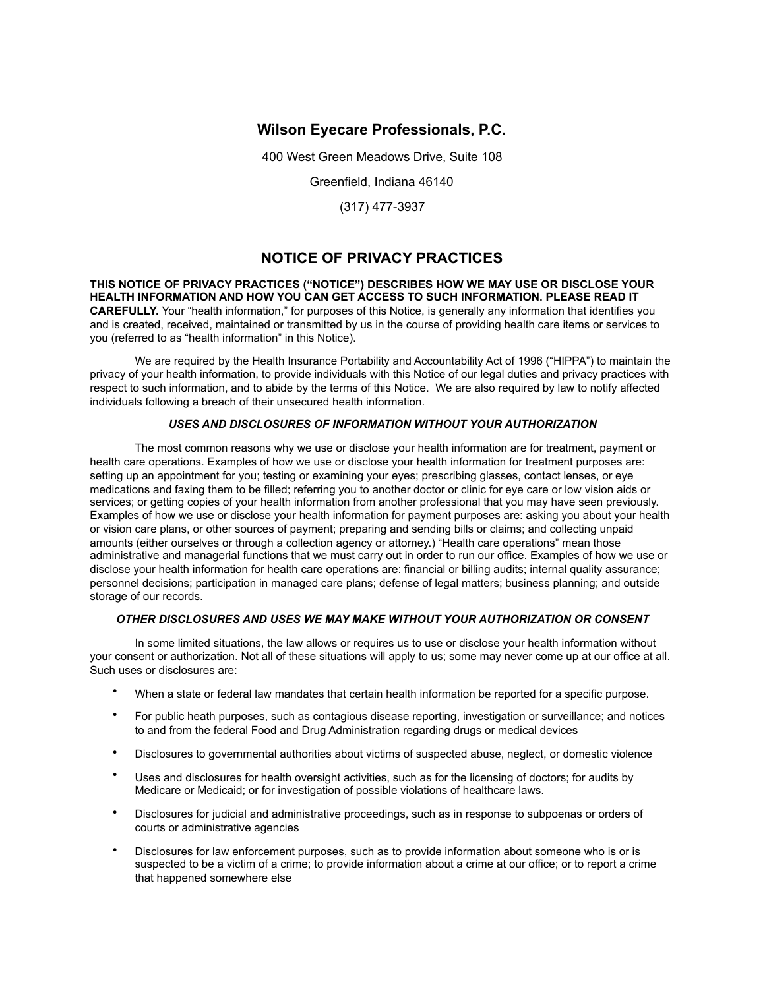# **Wilson Eyecare Professionals, P.C.**

400 West Green Meadows Drive, Suite 108

Greenfield, Indiana 46140

(317) 477-3937

# **NOTICE OF PRIVACY PRACTICES**

**THIS NOTICE OF PRIVACY PRACTICES ("NOTICE") DESCRIBES HOW WE MAY USE OR DISCLOSE YOUR HEALTH INFORMATION AND HOW YOU CAN GET ACCESS TO SUCH INFORMATION. PLEASE READ IT CAREFULLY.** Your "health information," for purposes of this Notice, is generally any information that identifies you and is created, received, maintained or transmitted by us in the course of providing health care items or services to you (referred to as "health information" in this Notice).

 We are required by the Health Insurance Portability and Accountability Act of 1996 ("HIPPA") to maintain the privacy of your health information, to provide individuals with this Notice of our legal duties and privacy practices with respect to such information, and to abide by the terms of this Notice. We are also required by law to notify affected individuals following a breach of their unsecured health information.

### *USES AND DISCLOSURES OF INFORMATION WITHOUT YOUR AUTHORIZATION*

 The most common reasons why we use or disclose your health information are for treatment, payment or health care operations. Examples of how we use or disclose your health information for treatment purposes are: setting up an appointment for you; testing or examining your eyes; prescribing glasses, contact lenses, or eye medications and faxing them to be filled; referring you to another doctor or clinic for eye care or low vision aids or services; or getting copies of your health information from another professional that you may have seen previously. Examples of how we use or disclose your health information for payment purposes are: asking you about your health or vision care plans, or other sources of payment; preparing and sending bills or claims; and collecting unpaid amounts (either ourselves or through a collection agency or attorney.) "Health care operations" mean those administrative and managerial functions that we must carry out in order to run our office. Examples of how we use or disclose your health information for health care operations are: financial or billing audits; internal quality assurance; personnel decisions; participation in managed care plans; defense of legal matters; business planning; and outside storage of our records.

### *OTHER DISCLOSURES AND USES WE MAY MAKE WITHOUT YOUR AUTHORIZATION OR CONSENT*

 In some limited situations, the law allows or requires us to use or disclose your health information without your consent or authorization. Not all of these situations will apply to us; some may never come up at our office at all. Such uses or disclosures are:

- When a state or federal law mandates that certain health information be reported for a specific purpose.
- For public heath purposes, such as contagious disease reporting, investigation or surveillance; and notices to and from the federal Food and Drug Administration regarding drugs or medical devices
- Disclosures to governmental authorities about victims of suspected abuse, neglect, or domestic violence
- Uses and disclosures for health oversight activities, such as for the licensing of doctors; for audits by Medicare or Medicaid; or for investigation of possible violations of healthcare laws.
- Disclosures for judicial and administrative proceedings, such as in response to subpoenas or orders of courts or administrative agencies
- Disclosures for law enforcement purposes, such as to provide information about someone who is or is suspected to be a victim of a crime; to provide information about a crime at our office; or to report a crime that happened somewhere else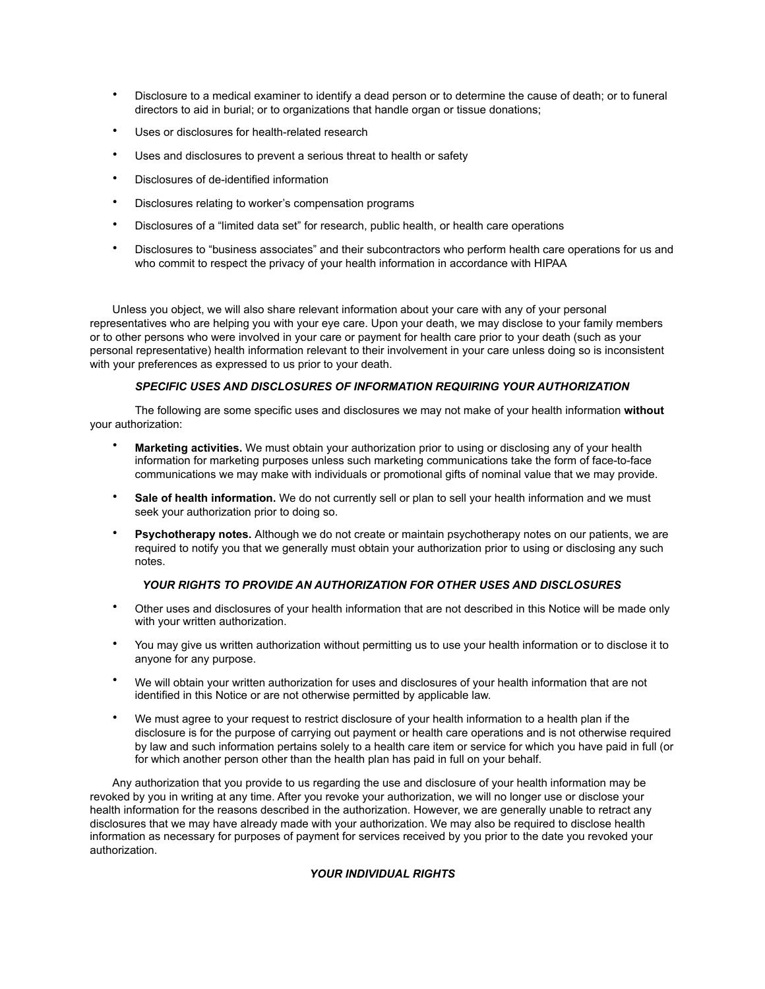- Disclosure to a medical examiner to identify a dead person or to determine the cause of death; or to funeral directors to aid in burial; or to organizations that handle organ or tissue donations;
- Uses or disclosures for health-related research
- Uses and disclosures to prevent a serious threat to health or safety
- Disclosures of de-identified information
- Disclosures relating to worker's compensation programs
- Disclosures of a "limited data set" for research, public health, or health care operations
- Disclosures to "business associates" and their subcontractors who perform health care operations for us and who commit to respect the privacy of your health information in accordance with HIPAA

Unless you object, we will also share relevant information about your care with any of your personal representatives who are helping you with your eye care. Upon your death, we may disclose to your family members or to other persons who were involved in your care or payment for health care prior to your death (such as your personal representative) health information relevant to their involvement in your care unless doing so is inconsistent with your preferences as expressed to us prior to your death.

### *SPECIFIC USES AND DISCLOSURES OF INFORMATION REQUIRING YOUR AUTHORIZATION*

 The following are some specific uses and disclosures we may not make of your health information **without** your authorization:

- **Marketing activities.** We must obtain your authorization prior to using or disclosing any of your health information for marketing purposes unless such marketing communications take the form of face-to-face communications we may make with individuals or promotional gifts of nominal value that we may provide.
- **Sale of health information.** We do not currently sell or plan to sell your health information and we must seek your authorization prior to doing so.
- **Psychotherapy notes.** Although we do not create or maintain psychotherapy notes on our patients, we are required to notify you that we generally must obtain your authorization prior to using or disclosing any such notes.

## *YOUR RIGHTS TO PROVIDE AN AUTHORIZATION FOR OTHER USES AND DISCLOSURES*

- Other uses and disclosures of your health information that are not described in this Notice will be made only with your written authorization.
- You may give us written authorization without permitting us to use your health information or to disclose it to anyone for any purpose.
- We will obtain your written authorization for uses and disclosures of your health information that are not identified in this Notice or are not otherwise permitted by applicable law.
- We must agree to your request to restrict disclosure of your health information to a health plan if the disclosure is for the purpose of carrying out payment or health care operations and is not otherwise required by law and such information pertains solely to a health care item or service for which you have paid in full (or for which another person other than the health plan has paid in full on your behalf.

Any authorization that you provide to us regarding the use and disclosure of your health information may be revoked by you in writing at any time. After you revoke your authorization, we will no longer use or disclose your health information for the reasons described in the authorization. However, we are generally unable to retract any disclosures that we may have already made with your authorization. We may also be required to disclose health information as necessary for purposes of payment for services received by you prior to the date you revoked your authorization.

## *YOUR INDIVIDUAL RIGHTS*